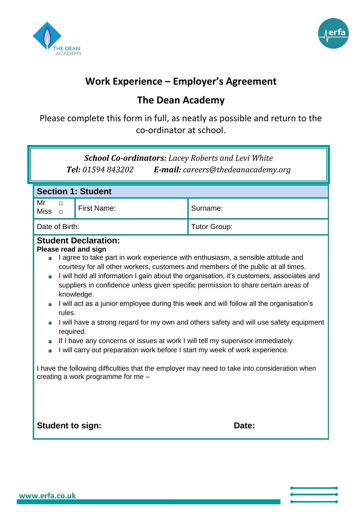



# **Work Experience – Employer's Agreement**

# **The Dean Academy**

Please complete this form in full, as neatly as possible and return to the co-ordinator at school.

## *School Co-ordinators: Lacey Roberts and Levi White*

*Tel: 01594 843202 E-mail: careers@thedeanacademy.org*

| <b>Section 1: Student</b> |                    |                     |  |  |  |
|---------------------------|--------------------|---------------------|--|--|--|
| $Mr \Box$<br>Miss $\Box$  | <b>First Name:</b> | Surname:            |  |  |  |
| Date of Birth:            |                    | <b>Tutor Group:</b> |  |  |  |
| Chidant Dealerstian.      |                    |                     |  |  |  |

## **Student Declaration:**

## **Please read and sign**

- I agree to take part in work experience with enthusiasm, a sensible attitude and courtesy for all other workers, customers and members of the public at all times.
- I will hold all information I gain about the organisation, it's customers, associates and suppliers in confidence unless given specific permission to share certain areas of knowledge.
- I will act as a junior employee during this week and will follow all the organisation's rules.
- I will have a strong regard for my own and others safety and will use safety equipment required.
- **If I have any concerns or issues at work I will tell my supervisor immediately.**
- I will carry out preparation work before I start my week of work experience.

I have the following difficulties that the employer may need to take into consideration when creating a work programme for me –

**Student to sign:** Date: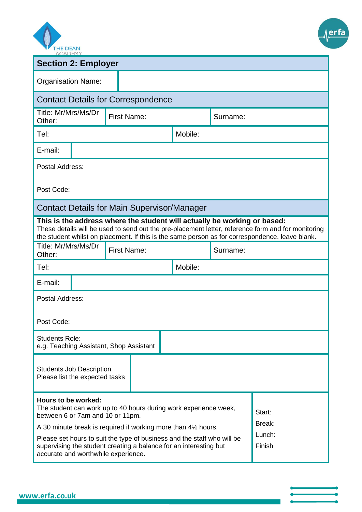



| <u>ACADEMI</u><br><b>Section 2: Employer</b>                                                                                                                                                                                                                                      |                                           |  |  |  |          |          |        |  |
|-----------------------------------------------------------------------------------------------------------------------------------------------------------------------------------------------------------------------------------------------------------------------------------|-------------------------------------------|--|--|--|----------|----------|--------|--|
| <b>Organisation Name:</b>                                                                                                                                                                                                                                                         |                                           |  |  |  |          |          |        |  |
| <b>Contact Details for Correspondence</b>                                                                                                                                                                                                                                         |                                           |  |  |  |          |          |        |  |
| Title: Mr/Mrs/Ms/Dr<br><b>First Name:</b><br>Other:                                                                                                                                                                                                                               |                                           |  |  |  | Surname: |          |        |  |
| Tel:                                                                                                                                                                                                                                                                              |                                           |  |  |  | Mobile:  |          |        |  |
| E-mail:                                                                                                                                                                                                                                                                           |                                           |  |  |  |          |          |        |  |
| Postal Address:                                                                                                                                                                                                                                                                   |                                           |  |  |  |          |          |        |  |
| Post Code:                                                                                                                                                                                                                                                                        |                                           |  |  |  |          |          |        |  |
| <b>Contact Details for Main Supervisor/Manager</b>                                                                                                                                                                                                                                |                                           |  |  |  |          |          |        |  |
| This is the address where the student will actually be working or based:<br>These details will be used to send out the pre-placement letter, reference form and for monitoring<br>the student whilst on placement. If this is the same person as for correspondence, leave blank. |                                           |  |  |  |          |          |        |  |
| Other:                                                                                                                                                                                                                                                                            | Title: Mr/Mrs/Ms/Dr<br><b>First Name:</b> |  |  |  |          | Surname: |        |  |
| Mobile:<br>Tel:                                                                                                                                                                                                                                                                   |                                           |  |  |  |          |          |        |  |
| E-mail:                                                                                                                                                                                                                                                                           |                                           |  |  |  |          |          |        |  |
| Postal Address:                                                                                                                                                                                                                                                                   |                                           |  |  |  |          |          |        |  |
| Post Code:                                                                                                                                                                                                                                                                        |                                           |  |  |  |          |          |        |  |
| <b>Students Role:</b><br>e.g. Teaching Assistant, Shop Assistant                                                                                                                                                                                                                  |                                           |  |  |  |          |          |        |  |
| <b>Students Job Description</b><br>Please list the expected tasks                                                                                                                                                                                                                 |                                           |  |  |  |          |          |        |  |
| Hours to be worked:<br>The student can work up to 40 hours during work experience week,<br>Start:<br>between 6 or 7am and 10 or 11pm.                                                                                                                                             |                                           |  |  |  |          |          | Break: |  |
| A 30 minute break is required if working more than 41/2 hours.                                                                                                                                                                                                                    |                                           |  |  |  |          |          | Lunch: |  |
| Please set hours to suit the type of business and the staff who will be<br>supervising the student creating a balance for an interesting but<br>Finish<br>accurate and worthwhile experience.                                                                                     |                                           |  |  |  |          |          |        |  |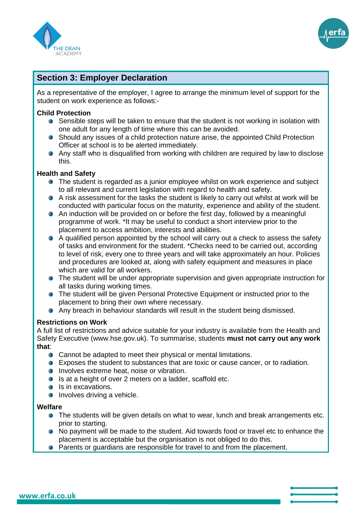



## **Section 3: Employer Declaration**

As a representative of the employer, I agree to arrange the minimum level of support for the student on work experience as follows:-

## **Child Protection**

- Sensible steps will be taken to ensure that the student is not working in isolation with one adult for any length of time where this can be avoided.
- Should any issues of a child protection nature arise, the appointed Child Protection Officer at school is to be alerted immediately.
- Any staff who is disqualified from working with children are required by law to disclose this.

### **Health and Safety**

- The student is regarded as a junior employee whilst on work experience and subject to all relevant and current legislation with regard to health and safety.
- A risk assessment for the tasks the student is likely to carry out whilst at work will be conducted with particular focus on the maturity, experience and ability of the student.
- An induction will be provided on or before the first day, followed by a meaningful programme of work. \*It may be useful to conduct a short interview prior to the placement to access ambition, interests and abilities.
- A qualified person appointed by the school will carry out a check to assess the safety of tasks and environment for the student. \*Checks need to be carried out, according to level of risk, every one to three years and will take approximately an hour. Policies and procedures are looked at, along with safety equipment and measures in place which are valid for all workers.
- The student will be under appropriate supervision and given appropriate instruction for all tasks during working times.
- **The student will be given Personal Protective Equipment or instructed prior to the** placement to bring their own where necessary.
- Any breach in behaviour standards will result in the student being dismissed.

### **Restrictions on Work**

A full list of restrictions and advice suitable for your industry is available from the Health and Safety Executive (www.hse.gov.uk). To summarise, students **must not carry out any work that**:

- **Cannot be adapted to meet their physical or mental limitations.**
- **Exposes the student to substances that are toxic or cause cancer, or to radiation.**
- **Involves extreme heat, noise or vibration.**
- Is at a height of over 2 meters on a ladder, scaffold etc.
- **Is in excavations.**
- **Involves driving a vehicle.**

### **Welfare**

- **The students will be given details on what to wear, lunch and break arrangements etc.** prior to starting.
- No payment will be made to the student. Aid towards food or travel etc to enhance the placement is acceptable but the organisation is not obliged to do this.
- **Parents or guardians are responsible for travel to and from the placement.**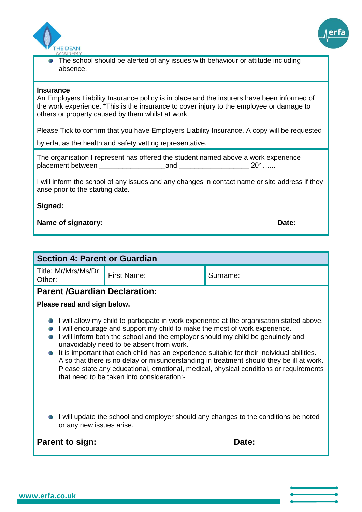



 The school should be alerted of any issues with behaviour or attitude including absence.

#### **Insurance**

An Employers Liability Insurance policy is in place and the insurers have been informed of the work experience. \*This is the insurance to cover injury to the employee or damage to others or property caused by them whilst at work.

Please Tick to confirm that you have Employers Liability Insurance. A copy will be requested

by erfa, as the health and safety vetting representative.  $\square$ 

The organisation I represent has offered the student named above a work experience placement between \_\_\_\_\_\_\_\_\_\_\_\_\_\_\_\_\_and \_\_\_\_\_\_\_\_\_\_\_\_\_\_\_\_\_\_ 201…...

I will inform the school of any issues and any changes in contact name or site address if they arise prior to the starting date.

### **Signed:**

## **Name of signatory:**  $\blacksquare$

| <b>Section 4: Parent or Guardian</b>                                                                                                                                                                                                                                                                                                                                                                                                                                                                                                                                                                                                                                   |                                                                                              |  |  |  |  |  |  |  |  |
|------------------------------------------------------------------------------------------------------------------------------------------------------------------------------------------------------------------------------------------------------------------------------------------------------------------------------------------------------------------------------------------------------------------------------------------------------------------------------------------------------------------------------------------------------------------------------------------------------------------------------------------------------------------------|----------------------------------------------------------------------------------------------|--|--|--|--|--|--|--|--|
| Title: Mr/Mrs/Ms/Dr<br>First Name:<br>Other:                                                                                                                                                                                                                                                                                                                                                                                                                                                                                                                                                                                                                           | Surname:                                                                                     |  |  |  |  |  |  |  |  |
| <b>Parent /Guardian Declaration:</b>                                                                                                                                                                                                                                                                                                                                                                                                                                                                                                                                                                                                                                   |                                                                                              |  |  |  |  |  |  |  |  |
| Please read and sign below.<br>I will allow my child to participate in work experience at the organisation stated above.<br>I will encourage and support my child to make the most of work experience.<br>I will inform both the school and the employer should my child be genuinely and<br>unavoidably need to be absent from work.<br>It is important that each child has an experience suitable for their individual abilities.<br>Also that there is no delay or misunderstanding in treatment should they be ill at work.<br>Please state any educational, emotional, medical, physical conditions or requirements<br>that need to be taken into consideration:- |                                                                                              |  |  |  |  |  |  |  |  |
| or any new issues arise.<br>Parent to sign:                                                                                                                                                                                                                                                                                                                                                                                                                                                                                                                                                                                                                            | I will update the school and employer should any changes to the conditions be noted<br>Date: |  |  |  |  |  |  |  |  |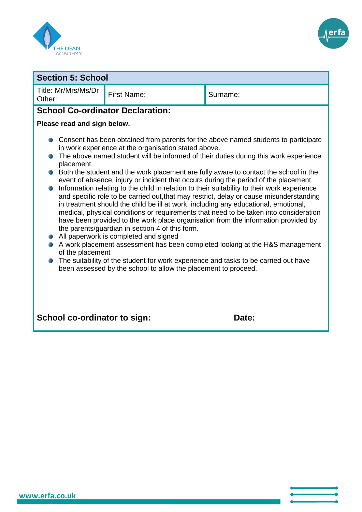



## **Section 5: School**  Title: Mr/Mrs/Ms/Dr The: Millian Swister First Name: Surname: **School Co-ordinator Declaration: Please read and sign below. Consent has been obtained from parents for the above named students to participate** in work experience at the organisation stated above. • The above named student will be informed of their duties during this work experience placement Both the student and the work placement are fully aware to contact the school in the event of absence, injury or incident that occurs during the period of the placement. **Information relating to the child in relation to their suitability to their work experience** and specific role to be carried out,that may restrict, delay or cause misunderstanding in treatment should the child be ill at work, including any educational, emotional, medical, physical conditions or requirements that need to be taken into consideration have been provided to the work place organisation from the information provided by the parents/guardian in section 4 of this form. • All paperwork is completed and signed A work placement assessment has been completed looking at the H&S management of the placement **The suitability of the student for work experience and tasks to be carried out have** been assessed by the school to allow the placement to proceed. **School co-ordinator to sign: Date:**

**www.erfa.co.uk**